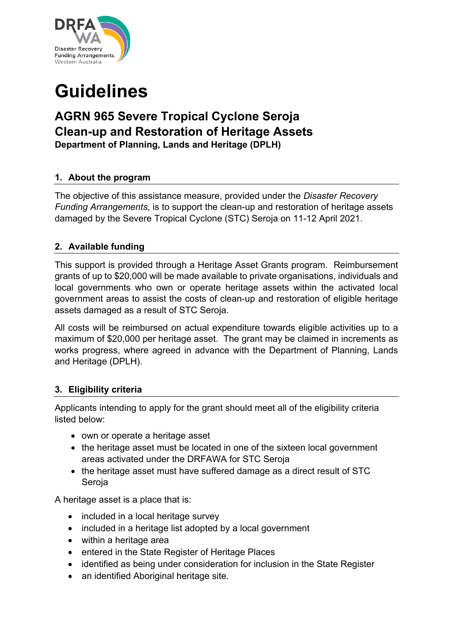

# **Guidelines**

# **AGRN 965 Severe Tropical Cyclone Seroja Clean-up and Restoration of Heritage Assets Department of Planning, Lands and Heritage (DPLH)**

**1. About the program**

The objective of this assistance measure, provided under the *Disaster Recovery Funding Arrangements*, is to support the clean-up and restoration of heritage assets damaged by the Severe Tropical Cyclone (STC) Seroja on 11-12 April 2021.

# **2. Available funding**

This support is provided through a Heritage Asset Grants program. Reimbursement grants of up to \$20,000 will be made available to private organisations, individuals and local governments who own or operate heritage assets within the activated local government areas to assist the costs of clean-up and restoration of eligible heritage assets damaged as a result of STC Seroja.

All costs will be reimbursed on actual expenditure towards eligible activities up to a maximum of \$20,000 per heritage asset. The grant may be claimed in increments as works progress, where agreed in advance with the Department of Planning, Lands and Heritage (DPLH).

# **3. Eligibility criteria**

Applicants intending to apply for the grant should meet all of the eligibility criteria listed below:

- own or operate a heritage asset
- the heritage asset must be located in one of the sixteen local government areas activated under the DRFAWA for STC Seroja
- the heritage asset must have suffered damage as a direct result of STC Seroja

A heritage asset is a place that is:

- included in a local heritage survey
- included in a heritage list adopted by a local government
- within a heritage area
- entered in the State Register of Heritage Places
- identified as being under consideration for inclusion in the State Register
- an identified Aboriginal heritage site.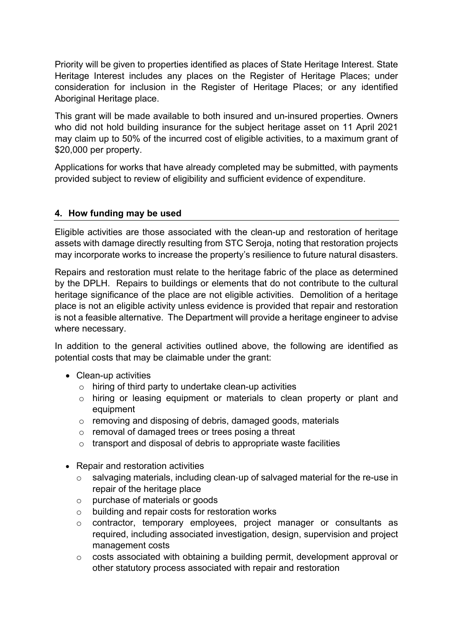Priority will be given to properties identified as places of State Heritage Interest. State Heritage Interest includes any places on the Register of Heritage Places; under consideration for inclusion in the Register of Heritage Places; or any identified Aboriginal Heritage place.

This grant will be made available to both insured and un-insured properties. Owners who did not hold building insurance for the subject heritage asset on 11 April 2021 may claim up to 50% of the incurred cost of eligible activities, to a maximum grant of \$20,000 per property.

Applications for works that have already completed may be submitted, with payments provided subject to review of eligibility and sufficient evidence of expenditure.

# **4. How funding may be used**

Eligible activities are those associated with the clean-up and restoration of heritage assets with damage directly resulting from STC Seroja, noting that restoration projects may incorporate works to increase the property's resilience to future natural disasters.

Repairs and restoration must relate to the heritage fabric of the place as determined by the DPLH. Repairs to buildings or elements that do not contribute to the cultural heritage significance of the place are not eligible activities. Demolition of a heritage place is not an eligible activity unless evidence is provided that repair and restoration is not a feasible alternative. The Department will provide a heritage engineer to advise where necessary.

In addition to the general activities outlined above, the following are identified as potential costs that may be claimable under the grant:

- Clean-up activities
	- o hiring of third party to undertake clean-up activities
	- o hiring or leasing equipment or materials to clean property or plant and equipment
	- o removing and disposing of debris, damaged goods, materials
	- o removal of damaged trees or trees posing a threat
	- o transport and disposal of debris to appropriate waste facilities
- Repair and restoration activities
	- o salvaging materials, including clean‐up of salvaged material for the re-use in repair of the heritage place
	- o purchase of materials or goods
	- o building and repair costs for restoration works
	- o contractor, temporary employees, project manager or consultants as required, including associated investigation, design, supervision and project management costs
	- o costs associated with obtaining a building permit, development approval or other statutory process associated with repair and restoration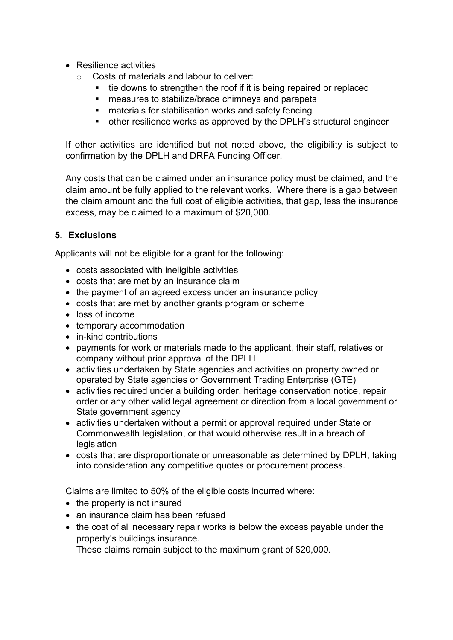- Resilience activities
	- o Costs of materials and labour to deliver:
		- tie downs to strengthen the roof if it is being repaired or replaced
		- measures to stabilize/brace chimneys and parapets
		- materials for stabilisation works and safety fencing
		- other resilience works as approved by the DPLH's structural engineer

If other activities are identified but not noted above, the eligibility is subject to confirmation by the DPLH and DRFA Funding Officer.

Any costs that can be claimed under an insurance policy must be claimed, and the claim amount be fully applied to the relevant works. Where there is a gap between the claim amount and the full cost of eligible activities, that gap, less the insurance excess, may be claimed to a maximum of \$20,000.

#### **5. Exclusions**

Applicants will not be eligible for a grant for the following:

- costs associated with ineligible activities
- costs that are met by an insurance claim
- the payment of an agreed excess under an insurance policy
- costs that are met by another grants program or scheme
- loss of income
- temporary accommodation
- in-kind contributions
- payments for work or materials made to the applicant, their staff, relatives or company without prior approval of the DPLH
- activities undertaken by State agencies and activities on property owned or operated by State agencies or Government Trading Enterprise (GTE)
- activities required under a building order, heritage conservation notice, repair order or any other valid legal agreement or direction from a local government or State government agency
- activities undertaken without a permit or approval required under State or Commonwealth legislation, or that would otherwise result in a breach of legislation
- costs that are disproportionate or unreasonable as determined by DPLH, taking into consideration any competitive quotes or procurement process.

Claims are limited to 50% of the eligible costs incurred where:

- the property is not insured
- an insurance claim has been refused
- the cost of all necessary repair works is below the excess payable under the property's buildings insurance.

These claims remain subject to the maximum grant of \$20,000.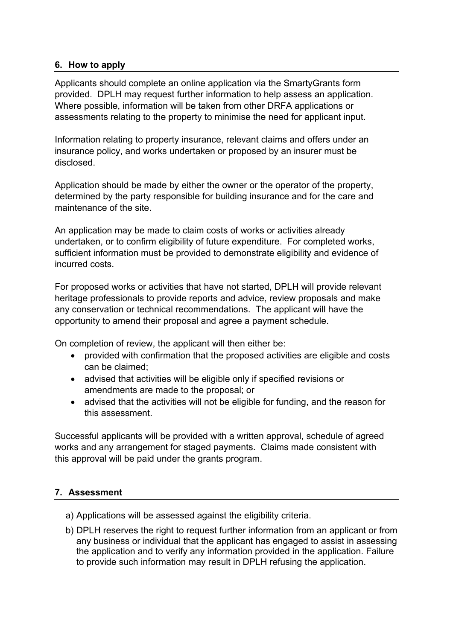# **6. How to apply**

Applicants should complete an online application via the SmartyGrants form provided. DPLH may request further information to help assess an application. Where possible, information will be taken from other DRFA applications or assessments relating to the property to minimise the need for applicant input.

Information relating to property insurance, relevant claims and offers under an insurance policy, and works undertaken or proposed by an insurer must be disclosed.

Application should be made by either the owner or the operator of the property, determined by the party responsible for building insurance and for the care and maintenance of the site.

An application may be made to claim costs of works or activities already undertaken, or to confirm eligibility of future expenditure. For completed works, sufficient information must be provided to demonstrate eligibility and evidence of incurred costs.

For proposed works or activities that have not started, DPLH will provide relevant heritage professionals to provide reports and advice, review proposals and make any conservation or technical recommendations. The applicant will have the opportunity to amend their proposal and agree a payment schedule.

On completion of review, the applicant will then either be:

- provided with confirmation that the proposed activities are eligible and costs can be claimed;
- advised that activities will be eligible only if specified revisions or amendments are made to the proposal; or
- advised that the activities will not be eligible for funding, and the reason for this assessment.

Successful applicants will be provided with a written approval, schedule of agreed works and any arrangement for staged payments. Claims made consistent with this approval will be paid under the grants program.

# **7. Assessment**

- a) Applications will be assessed against the eligibility criteria.
- b) DPLH reserves the right to request further information from an applicant or from any business or individual that the applicant has engaged to assist in assessing the application and to verify any information provided in the application. Failure to provide such information may result in DPLH refusing the application.